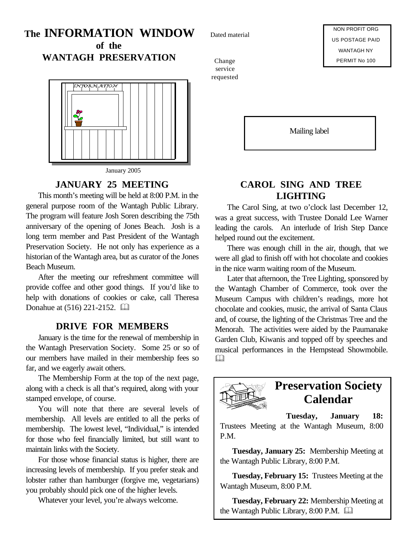# **The INFORMATION WINDOW of the**

**WANTAGH PRESERVATION**



#### **JANUARY 25 MEETING**

This month's meeting will be held at 8:00 P.M. in the general purpose room of the Wantagh Public Library. The program will feature Josh Soren describing the 75th anniversary of the opening of Jones Beach. Josh is a long term member and Past President of the Wantagh Preservation Society. He not only has experience as a historian of the Wantagh area, but as curator of the Jones Beach Museum.

After the meeting our refreshment committee will provide coffee and other good things. If you'd like to help with donations of cookies or cake, call Theresa Donahue at  $(516)$  221-2152.  $\Box$ 

#### **DRIVE FOR MEMBERS**

January is the time for the renewal of membership in the Wantagh Preservation Society. Some 25 or so of our members have mailed in their membership fees so far, and we eagerly await others.

The Membership Form at the top of the next page, along with a check is all that's required, along with your stamped envelope, of course.

You will note that there are several levels of membership. All levels are entitled to all the perks of membership. The lowest level, "Individual," is intended for those who feel financially limited, but still want to maintain links with the Society.

For those whose financial status is higher, there are increasing levels of membership. If you prefer steak and lobster rather than hamburger (forgive me, vegetarians) you probably should pick one of the higher levels.

Whatever your level, you're always welcome.

Dated material

Change service requested

Mailing label

### **CAROL SING AND TREE LIGHTING**

The Carol Sing, at two o'clock last December 12, was a great success, with Trustee Donald Lee Warner leading the carols. An interlude of Irish Step Dance helped round out the excitement.

There was enough chill in the air, though, that we were all glad to finish off with hot chocolate and cookies in the nice warm waiting room of the Museum.

Later that afternoon, the Tree Lighting, sponsored by the Wantagh Chamber of Commerce, took over the Museum Campus with children's readings, more hot chocolate and cookies, music, the arrival of Santa Claus and, of course, the lighting of the Christmas Tree and the Menorah. The activities were aided by the Paumanake Garden Club, Kiwanis and topped off by speeches and musical performances in the Hempstead Showmobile.  $\Box$ 



### **Preservation Society Calendar**

**Tuesday, January 18:**

Trustees Meeting at the Wantagh Museum, 8:00 P.M.

**Tuesday, January 25:** Membership Meeting at the Wantagh Public Library, 8:00 P.M.

**Tuesday, February 15:** Trustees Meeting at the Wantagh Museum, 8:00 P.M.

**Tuesday, February 22:** Membership Meeting at the Wantagh Public Library, 8:00 P.M.  $\Box$